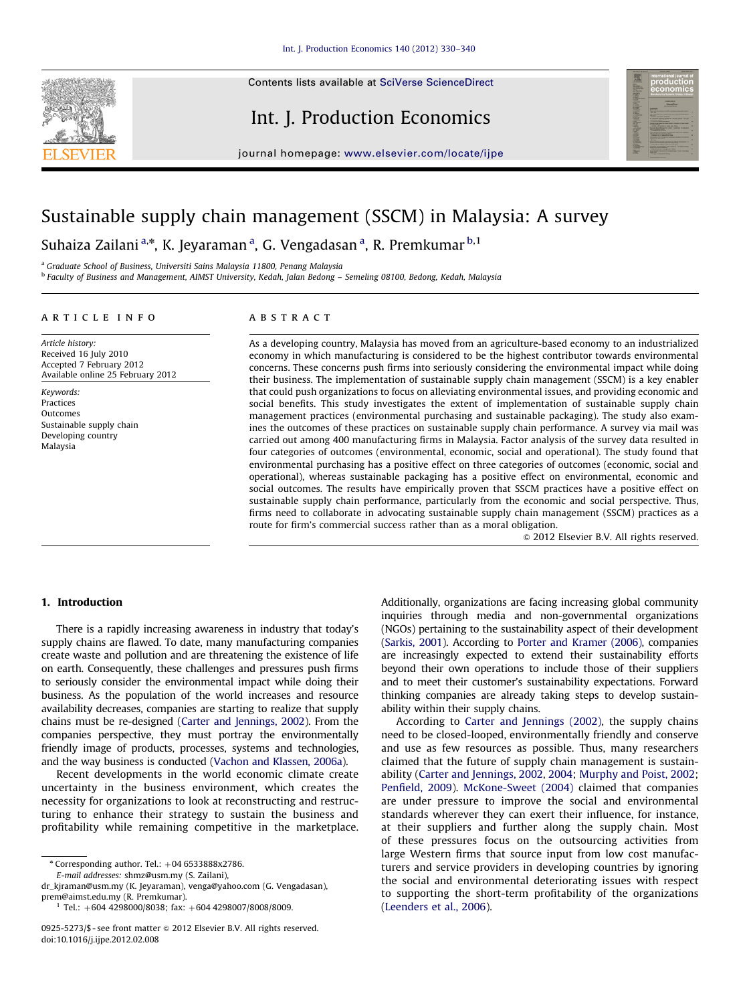Contents lists available at [SciVerse ScienceDirect](www.elsevier.com/locate/ijpe)

# Int. J. Production Economics



journal homepage: <www.elsevier.com/locate/ijpe>

# Sustainable supply chain management (SSCM) in Malaysia: A survey

Suhaiza Zailani <sup>a,</sup>\*, K. Jeyaraman <sup>a</sup>, G. Vengadasan <sup>a</sup>, R. Premkumar <sup>b,1</sup>

<sup>a</sup> Graduate School of Business, Universiti Sains Malaysia 11800, Penang Malaysia

<sup>b</sup> Faculty of Business and Management, AIMST University, Kedah, Jalan Bedong – Semeling 08100, Bedong, Kedah, Malaysia

#### article info

Article history: Received 16 July 2010 Accepted 7 February 2012 Available online 25 February 2012

Keywords: Practices Outcomes Sustainable supply chain Developing country Malaysia

#### ABSTRACT

As a developing country, Malaysia has moved from an agriculture-based economy to an industrialized economy in which manufacturing is considered to be the highest contributor towards environmental concerns. These concerns push firms into seriously considering the environmental impact while doing their business. The implementation of sustainable supply chain management (SSCM) is a key enabler that could push organizations to focus on alleviating environmental issues, and providing economic and social benefits. This study investigates the extent of implementation of sustainable supply chain management practices (environmental purchasing and sustainable packaging). The study also examines the outcomes of these practices on sustainable supply chain performance. A survey via mail was carried out among 400 manufacturing firms in Malaysia. Factor analysis of the survey data resulted in four categories of outcomes (environmental, economic, social and operational). The study found that environmental purchasing has a positive effect on three categories of outcomes (economic, social and operational), whereas sustainable packaging has a positive effect on environmental, economic and social outcomes. The results have empirically proven that SSCM practices have a positive effect on sustainable supply chain performance, particularly from the economic and social perspective. Thus, firms need to collaborate in advocating sustainable supply chain management (SSCM) practices as a route for firm's commercial success rather than as a moral obligation.

 $\odot$  2012 Elsevier B.V. All rights reserved.

## 1. Introduction

There is a rapidly increasing awareness in industry that today's supply chains are flawed. To date, many manufacturing companies create waste and pollution and are threatening the existence of life on earth. Consequently, these challenges and pressures push firms to seriously consider the environmental impact while doing their business. As the population of the world increases and resource availability decreases, companies are starting to realize that supply chains must be re-designed [\(Carter and Jennings, 2002](#page--1-0)). From the companies perspective, they must portray the environmentally friendly image of products, processes, systems and technologies, and the way business is conducted [\(Vachon and Klassen, 2006a\)](#page--1-0).

Recent developments in the world economic climate create uncertainty in the business environment, which creates the necessity for organizations to look at reconstructing and restructuring to enhance their strategy to sustain the business and profitability while remaining competitive in the marketplace. Additionally, organizations are facing increasing global community inquiries through media and non-governmental organizations (NGOs) pertaining to the sustainability aspect of their development ([Sarkis, 2001](#page--1-0)). According to [Porter and Kramer \(2006\),](#page--1-0) companies are increasingly expected to extend their sustainability efforts beyond their own operations to include those of their suppliers and to meet their customer's sustainability expectations. Forward thinking companies are already taking steps to develop sustainability within their supply chains.

According to [Carter and Jennings \(2002\),](#page--1-0) the supply chains need to be closed-looped, environmentally friendly and conserve and use as few resources as possible. Thus, many researchers claimed that the future of supply chain management is sustainability [\(Carter and Jennings, 2002,](#page--1-0) [2004](#page--1-0); [Murphy and Poist, 2002;](#page--1-0) [Penfield, 2009\)](#page--1-0). [McKone-Sweet \(2004\)](#page--1-0) claimed that companies are under pressure to improve the social and environmental standards wherever they can exert their influence, for instance, at their suppliers and further along the supply chain. Most of these pressures focus on the outsourcing activities from large Western firms that source input from low cost manufacturers and service providers in developing countries by ignoring the social and environmental deteriorating issues with respect to supporting the short-term profitability of the organizations ([Leenders et al., 2006](#page--1-0)).

 $*$  Corresponding author. Tel.:  $+04$  6533888x2786.

E-mail addresses: [shmz@usm.my \(S. Zailani\),](mailto:shmz@usm.my)

[dr\\_kjraman@usm.my \(K. Jeyaraman\)](mailto:dr_kjraman@usm.my), [venga@yahoo.com \(G. Vengadasan\),](mailto:venga@yahoo.com) [prem@aimst.edu.my \(R. Premkumar\)](mailto:prem@aimst.edu.my).

 $1$  Tel.: +604 4298000/8038; fax: +604 4298007/8008/8009.

<sup>0925-5273/\$ -</sup> see front matter @ 2012 Elsevier B.V. All rights reserved. doi:[10.1016/j.ijpe.2012.02.008](dx.doi.org/10.1016/j.ijpe.2012.02.008)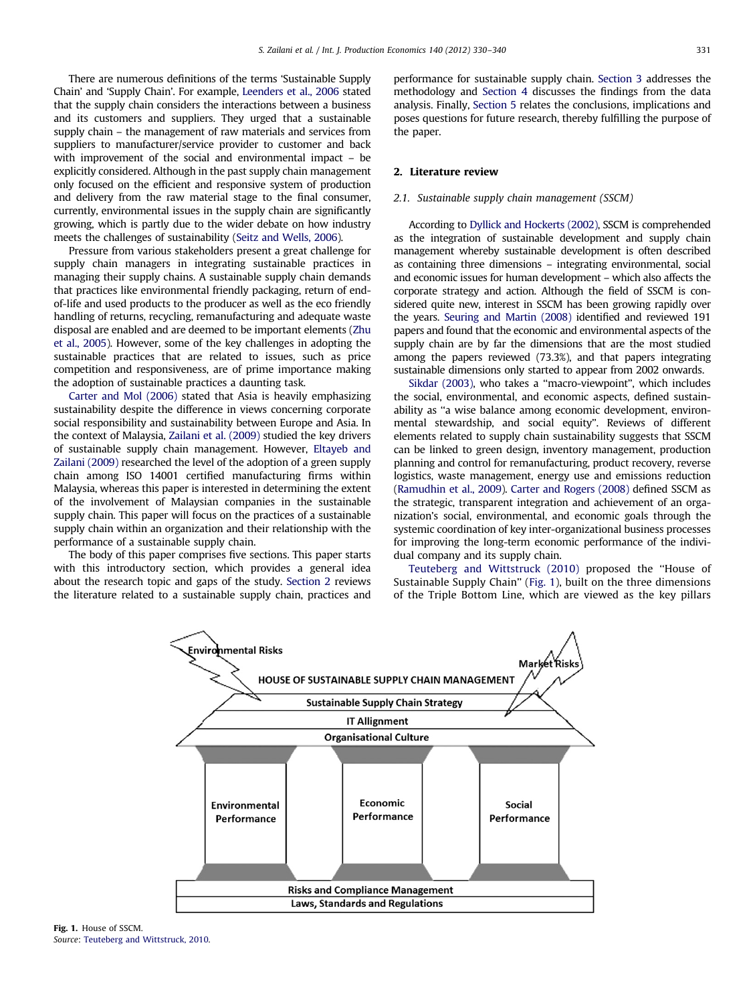There are numerous definitions of the terms 'Sustainable Supply Chain' and 'Supply Chain'. For example, [Leenders et al., 2006](#page--1-0) stated that the supply chain considers the interactions between a business and its customers and suppliers. They urged that a sustainable supply chain – the management of raw materials and services from suppliers to manufacturer/service provider to customer and back with improvement of the social and environmental impact – be explicitly considered. Although in the past supply chain management only focused on the efficient and responsive system of production and delivery from the raw material stage to the final consumer, currently, environmental issues in the supply chain are significantly growing, which is partly due to the wider debate on how industry meets the challenges of sustainability [\(Seitz and Wells, 2006\)](#page--1-0).

Pressure from various stakeholders present a great challenge for supply chain managers in integrating sustainable practices in managing their supply chains. A sustainable supply chain demands that practices like environmental friendly packaging, return of endof-life and used products to the producer as well as the eco friendly handling of returns, recycling, remanufacturing and adequate waste disposal are enabled and are deemed to be important elements [\(Zhu](#page--1-0) [et al., 2005](#page--1-0)). However, some of the key challenges in adopting the sustainable practices that are related to issues, such as price competition and responsiveness, are of prime importance making the adoption of sustainable practices a daunting task.

[Carter and Mol \(2006\)](#page--1-0) stated that Asia is heavily emphasizing sustainability despite the difference in views concerning corporate social responsibility and sustainability between Europe and Asia. In the context of Malaysia, [Zailani et al. \(2009\)](#page--1-0) studied the key drivers of sustainable supply chain management. However, [Eltayeb and](#page--1-0) [Zailani \(2009\)](#page--1-0) researched the level of the adoption of a green supply chain among ISO 14001 certified manufacturing firms within Malaysia, whereas this paper is interested in determining the extent of the involvement of Malaysian companies in the sustainable supply chain. This paper will focus on the practices of a sustainable supply chain within an organization and their relationship with the performance of a sustainable supply chain.

The body of this paper comprises five sections. This paper starts with this introductory section, which provides a general idea about the research topic and gaps of the study. Section 2 reviews the literature related to a sustainable supply chain, practices and performance for sustainable supply chain. [Section 3](#page--1-0) addresses the methodology and [Section 4](#page--1-0) discusses the findings from the data analysis. Finally, [Section 5](#page--1-0) relates the conclusions, implications and poses questions for future research, thereby fulfilling the purpose of the paper.

## 2. Literature review

### 2.1. Sustainable supply chain management (SSCM)

According to [Dyllick and Hockerts \(2002\),](#page--1-0) SSCM is comprehended as the integration of sustainable development and supply chain management whereby sustainable development is often described as containing three dimensions – integrating environmental, social and economic issues for human development – which also affects the corporate strategy and action. Although the field of SSCM is considered quite new, interest in SSCM has been growing rapidly over the years. [Seuring and Martin \(2008\)](#page--1-0) identified and reviewed 191 papers and found that the economic and environmental aspects of the supply chain are by far the dimensions that are the most studied among the papers reviewed (73.3%), and that papers integrating sustainable dimensions only started to appear from 2002 onwards.

[Sikdar \(2003\)](#page--1-0), who takes a ''macro-viewpoint'', which includes the social, environmental, and economic aspects, defined sustainability as ''a wise balance among economic development, environmental stewardship, and social equity''. Reviews of different elements related to supply chain sustainability suggests that SSCM can be linked to green design, inventory management, production planning and control for remanufacturing, product recovery, reverse logistics, waste management, energy use and emissions reduction [\(Ramudhin et al., 2009\)](#page--1-0). [Carter and Rogers \(2008\)](#page--1-0) defined SSCM as the strategic, transparent integration and achievement of an organization's social, environmental, and economic goals through the systemic coordination of key inter-organizational business processes for improving the long-term economic performance of the individual company and its supply chain.

[Teuteberg and Wittstruck \(2010\)](#page--1-0) proposed the ''House of Sustainable Supply Chain'' (Fig. 1), built on the three dimensions of the Triple Bottom Line, which are viewed as the key pillars